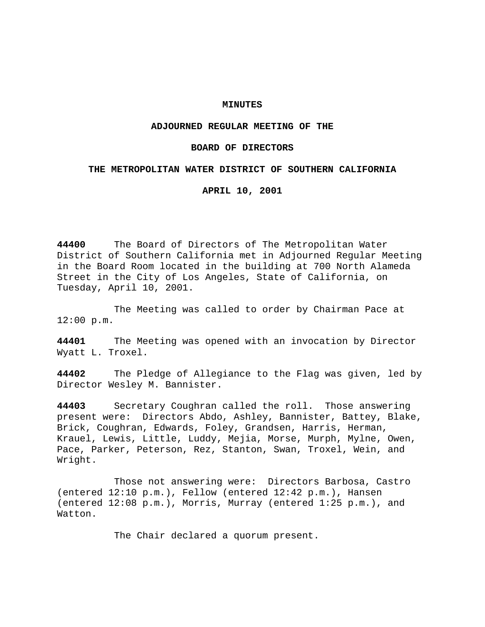## **MINUTES**

# **ADJOURNED REGULAR MEETING OF THE**

### **BOARD OF DIRECTORS**

### **THE METROPOLITAN WATER DISTRICT OF SOUTHERN CALIFORNIA**

**APRIL 10, 2001**

**44400** The Board of Directors of The Metropolitan Water District of Southern California met in Adjourned Regular Meeting in the Board Room located in the building at 700 North Alameda Street in the City of Los Angeles, State of California, on Tuesday, April 10, 2001.

The Meeting was called to order by Chairman Pace at 12:00 p.m.

**44401** The Meeting was opened with an invocation by Director Wyatt L. Troxel.

**44402** The Pledge of Allegiance to the Flag was given, led by Director Wesley M. Bannister.

**44403** Secretary Coughran called the roll. Those answering present were: Directors Abdo, Ashley, Bannister, Battey, Blake, Brick, Coughran, Edwards, Foley, Grandsen, Harris, Herman, Krauel, Lewis, Little, Luddy, Mejia, Morse, Murph, Mylne, Owen, Pace, Parker, Peterson, Rez, Stanton, Swan, Troxel, Wein, and Wright.

Those not answering were: Directors Barbosa, Castro (entered 12:10 p.m.), Fellow (entered 12:42 p.m.), Hansen (entered 12:08 p.m.), Morris, Murray (entered 1:25 p.m.), and Watton.

The Chair declared a quorum present.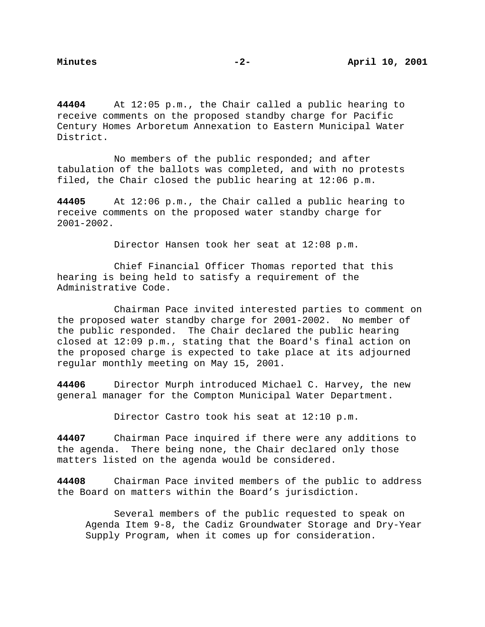**44404** At 12:05 p.m., the Chair called a public hearing to receive comments on the proposed standby charge for Pacific Century Homes Arboretum Annexation to Eastern Municipal Water District.

No members of the public responded; and after tabulation of the ballots was completed, and with no protests filed, the Chair closed the public hearing at 12:06 p.m.

**44405** At 12:06 p.m., the Chair called a public hearing to receive comments on the proposed water standby charge for 2001-2002.

Director Hansen took her seat at 12:08 p.m.

Chief Financial Officer Thomas reported that this hearing is being held to satisfy a requirement of the Administrative Code.

Chairman Pace invited interested parties to comment on the proposed water standby charge for 2001-2002. No member of the public responded. The Chair declared the public hearing closed at 12:09 p.m., stating that the Board's final action on the proposed charge is expected to take place at its adjourned regular monthly meeting on May 15, 2001.

**44406** Director Murph introduced Michael C. Harvey, the new general manager for the Compton Municipal Water Department.

Director Castro took his seat at 12:10 p.m.

**44407** Chairman Pace inquired if there were any additions to the agenda. There being none, the Chair declared only those matters listed on the agenda would be considered.

**44408** Chairman Pace invited members of the public to address the Board on matters within the Board's jurisdiction.

Several members of the public requested to speak on Agenda Item 9-8, the Cadiz Groundwater Storage and Dry-Year Supply Program, when it comes up for consideration.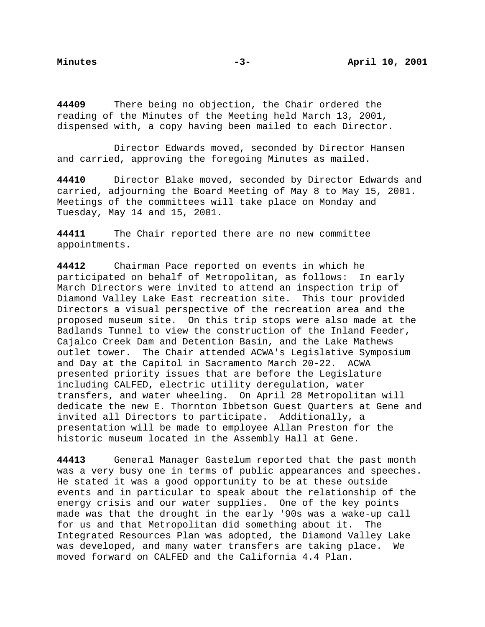**44409** There being no objection, the Chair ordered the reading of the Minutes of the Meeting held March 13, 2001, dispensed with, a copy having been mailed to each Director.

Director Edwards moved, seconded by Director Hansen and carried, approving the foregoing Minutes as mailed.

**44410** Director Blake moved, seconded by Director Edwards and carried, adjourning the Board Meeting of May 8 to May 15, 2001. Meetings of the committees will take place on Monday and Tuesday, May 14 and 15, 2001.

**44411** The Chair reported there are no new committee appointments.

**44412** Chairman Pace reported on events in which he participated on behalf of Metropolitan, as follows: In early March Directors were invited to attend an inspection trip of Diamond Valley Lake East recreation site. This tour provided Directors a visual perspective of the recreation area and the proposed museum site. On this trip stops were also made at the Badlands Tunnel to view the construction of the Inland Feeder, Cajalco Creek Dam and Detention Basin, and the Lake Mathews outlet tower. The Chair attended ACWA's Legislative Symposium and Day at the Capitol in Sacramento March 20-22. ACWA presented priority issues that are before the Legislature including CALFED, electric utility deregulation, water transfers, and water wheeling. On April 28 Metropolitan will dedicate the new E. Thornton Ibbetson Guest Quarters at Gene and invited all Directors to participate. Additionally, a presentation will be made to employee Allan Preston for the historic museum located in the Assembly Hall at Gene.

**44413** General Manager Gastelum reported that the past month was a very busy one in terms of public appearances and speeches. He stated it was a good opportunity to be at these outside events and in particular to speak about the relationship of the energy crisis and our water supplies. One of the key points made was that the drought in the early '90s was a wake-up call for us and that Metropolitan did something about it. The Integrated Resources Plan was adopted, the Diamond Valley Lake was developed, and many water transfers are taking place. We moved forward on CALFED and the California 4.4 Plan.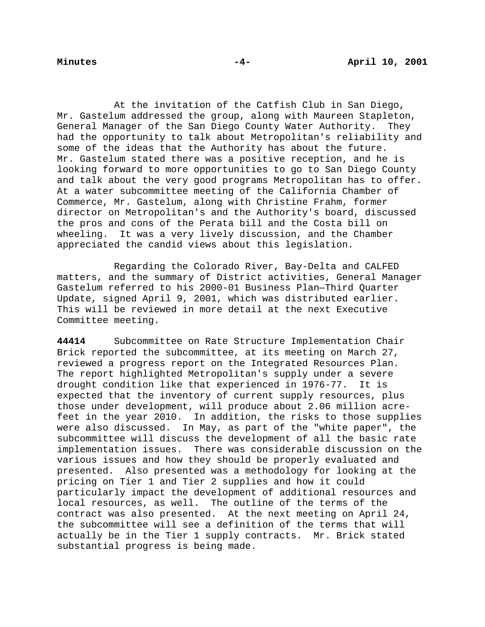At the invitation of the Catfish Club in San Diego, Mr. Gastelum addressed the group, along with Maureen Stapleton, General Manager of the San Diego County Water Authority. They had the opportunity to talk about Metropolitan's reliability and some of the ideas that the Authority has about the future. Mr. Gastelum stated there was a positive reception, and he is looking forward to more opportunities to go to San Diego County and talk about the very good programs Metropolitan has to offer. At a water subcommittee meeting of the California Chamber of Commerce, Mr. Gastelum, along with Christine Frahm, former director on Metropolitan's and the Authority's board, discussed the pros and cons of the Perata bill and the Costa bill on wheeling. It was a very lively discussion, and the Chamber appreciated the candid views about this legislation.

Regarding the Colorado River, Bay-Delta and CALFED matters, and the summary of District activities, General Manager Gastelum referred to his 2000-01 Business Plan—Third Quarter Update, signed April 9, 2001, which was distributed earlier. This will be reviewed in more detail at the next Executive Committee meeting.

**44414** Subcommittee on Rate Structure Implementation Chair Brick reported the subcommittee, at its meeting on March 27, reviewed a progress report on the Integrated Resources Plan. The report highlighted Metropolitan's supply under a severe drought condition like that experienced in 1976-77. It is expected that the inventory of current supply resources, plus those under development, will produce about 2.06 million acrefeet in the year 2010. In addition, the risks to those supplies were also discussed. In May, as part of the "white paper", the subcommittee will discuss the development of all the basic rate implementation issues. There was considerable discussion on the various issues and how they should be properly evaluated and presented. Also presented was a methodology for looking at the pricing on Tier 1 and Tier 2 supplies and how it could particularly impact the development of additional resources and local resources, as well. The outline of the terms of the contract was also presented. At the next meeting on April 24, the subcommittee will see a definition of the terms that will actually be in the Tier 1 supply contracts. Mr. Brick stated substantial progress is being made.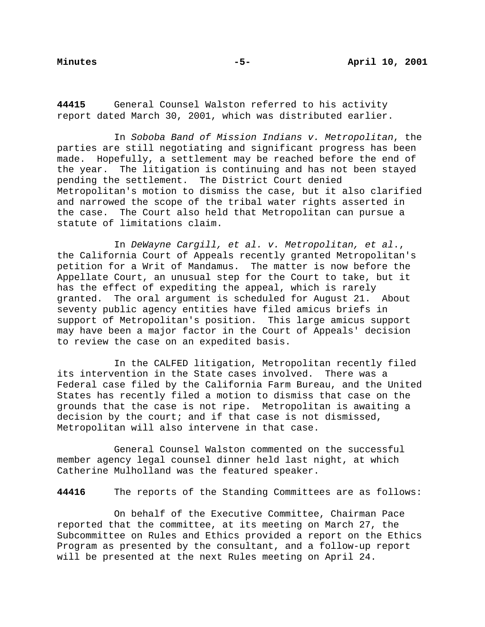**44415** General Counsel Walston referred to his activity report dated March 30, 2001, which was distributed earlier.

In Soboba Band of Mission Indians v. Metropolitan, the parties are still negotiating and significant progress has been made. Hopefully, a settlement may be reached before the end of the year. The litigation is continuing and has not been stayed pending the settlement. The District Court denied Metropolitan's motion to dismiss the case, but it also clarified and narrowed the scope of the tribal water rights asserted in the case. The Court also held that Metropolitan can pursue a statute of limitations claim.

In DeWayne Cargill, et al. v. Metropolitan, et al., the California Court of Appeals recently granted Metropolitan's petition for a Writ of Mandamus. The matter is now before the Appellate Court, an unusual step for the Court to take, but it has the effect of expediting the appeal, which is rarely granted. The oral argument is scheduled for August 21. About seventy public agency entities have filed amicus briefs in support of Metropolitan's position. This large amicus support may have been a major factor in the Court of Appeals' decision to review the case on an expedited basis.

In the CALFED litigation, Metropolitan recently filed its intervention in the State cases involved. There was a Federal case filed by the California Farm Bureau, and the United States has recently filed a motion to dismiss that case on the grounds that the case is not ripe. Metropolitan is awaiting a decision by the court; and if that case is not dismissed, Metropolitan will also intervene in that case.

General Counsel Walston commented on the successful member agency legal counsel dinner held last night, at which Catherine Mulholland was the featured speaker.

**44416** The reports of the Standing Committees are as follows:

On behalf of the Executive Committee, Chairman Pace reported that the committee, at its meeting on March 27, the Subcommittee on Rules and Ethics provided a report on the Ethics Program as presented by the consultant, and a follow-up report will be presented at the next Rules meeting on April 24.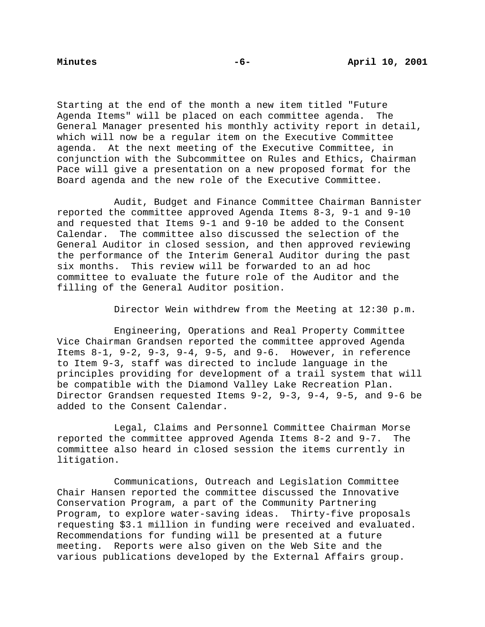Starting at the end of the month a new item titled "Future Agenda Items" will be placed on each committee agenda. The General Manager presented his monthly activity report in detail, which will now be a regular item on the Executive Committee agenda. At the next meeting of the Executive Committee, in conjunction with the Subcommittee on Rules and Ethics, Chairman Pace will give a presentation on a new proposed format for the Board agenda and the new role of the Executive Committee.

Audit, Budget and Finance Committee Chairman Bannister reported the committee approved Agenda Items 8-3, 9-1 and 9-10 and requested that Items 9-1 and 9-10 be added to the Consent Calendar. The committee also discussed the selection of the General Auditor in closed session, and then approved reviewing the performance of the Interim General Auditor during the past six months. This review will be forwarded to an ad hoc committee to evaluate the future role of the Auditor and the filling of the General Auditor position.

Director Wein withdrew from the Meeting at 12:30 p.m.

Engineering, Operations and Real Property Committee Vice Chairman Grandsen reported the committee approved Agenda Items  $8-1$ ,  $9-2$ ,  $9-3$ ,  $9-4$ ,  $9-5$ , and  $9-6$ . However, in reference to Item 9-3, staff was directed to include language in the principles providing for development of a trail system that will be compatible with the Diamond Valley Lake Recreation Plan. Director Grandsen requested Items 9-2, 9-3, 9-4, 9-5, and 9-6 be added to the Consent Calendar.

Legal, Claims and Personnel Committee Chairman Morse reported the committee approved Agenda Items 8-2 and 9-7. The committee also heard in closed session the items currently in litigation.

Communications, Outreach and Legislation Committee Chair Hansen reported the committee discussed the Innovative Conservation Program, a part of the Community Partnering Program, to explore water-saving ideas. Thirty-five proposals requesting \$3.1 million in funding were received and evaluated. Recommendations for funding will be presented at a future meeting. Reports were also given on the Web Site and the various publications developed by the External Affairs group.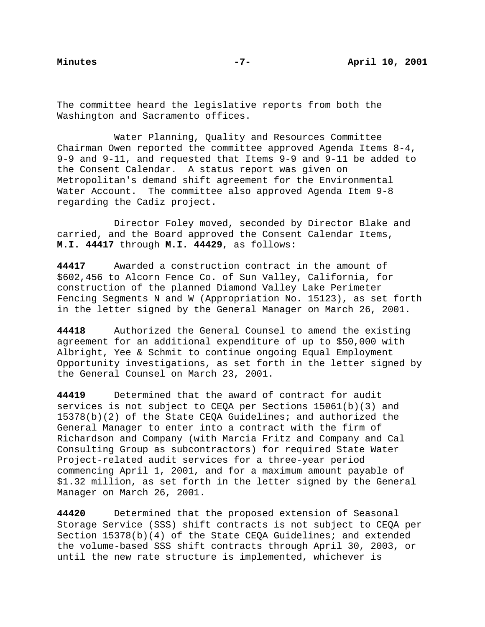The committee heard the legislative reports from both the Washington and Sacramento offices.

Water Planning, Quality and Resources Committee Chairman Owen reported the committee approved Agenda Items 8-4, 9-9 and 9-11, and requested that Items 9-9 and 9-11 be added to the Consent Calendar. A status report was given on Metropolitan's demand shift agreement for the Environmental Water Account. The committee also approved Agenda Item 9-8 regarding the Cadiz project.

Director Foley moved, seconded by Director Blake and carried, and the Board approved the Consent Calendar Items, **M.I. 44417** through **M.I. 44429**, as follows:

**44417** Awarded a construction contract in the amount of \$602,456 to Alcorn Fence Co. of Sun Valley, California, for construction of the planned Diamond Valley Lake Perimeter Fencing Segments N and W (Appropriation No. 15123), as set forth in the letter signed by the General Manager on March 26, 2001.

**44418** Authorized the General Counsel to amend the existing agreement for an additional expenditure of up to \$50,000 with Albright, Yee & Schmit to continue ongoing Equal Employment Opportunity investigations, as set forth in the letter signed by the General Counsel on March 23, 2001.

**44419** Determined that the award of contract for audit services is not subject to CEQA per Sections 15061(b)(3) and 15378(b)(2) of the State CEQA Guidelines; and authorized the General Manager to enter into a contract with the firm of Richardson and Company (with Marcia Fritz and Company and Cal Consulting Group as subcontractors) for required State Water Project-related audit services for a three-year period commencing April 1, 2001, and for a maximum amount payable of \$1.32 million, as set forth in the letter signed by the General Manager on March 26, 2001.

**44420** Determined that the proposed extension of Seasonal Storage Service (SSS) shift contracts is not subject to CEQA per Section 15378(b)(4) of the State CEQA Guidelines; and extended the volume-based SSS shift contracts through April 30, 2003, or until the new rate structure is implemented, whichever is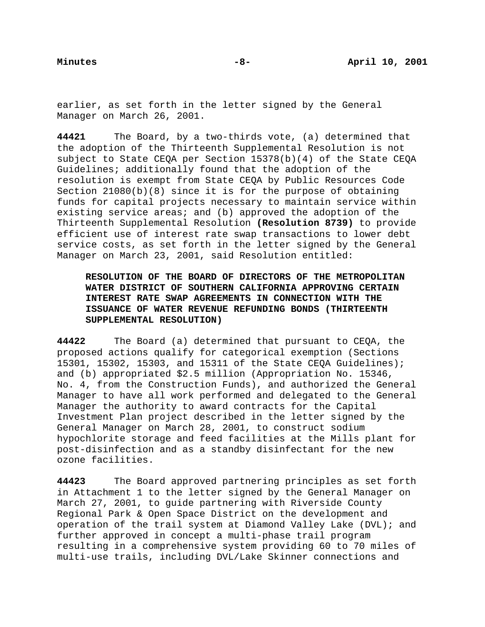earlier, as set forth in the letter signed by the General Manager on March 26, 2001.

**44421** The Board, by a two-thirds vote, (a) determined that the adoption of the Thirteenth Supplemental Resolution is not subject to State CEQA per Section 15378(b)(4) of the State CEQA Guidelines; additionally found that the adoption of the resolution is exempt from State CEQA by Public Resources Code Section 21080(b)(8) since it is for the purpose of obtaining funds for capital projects necessary to maintain service within existing service areas; and (b) approved the adoption of the Thirteenth Supplemental Resolution **(Resolution 8739)** to provide efficient use of interest rate swap transactions to lower debt service costs, as set forth in the letter signed by the General Manager on March 23, 2001, said Resolution entitled:

**RESOLUTION OF THE BOARD OF DIRECTORS OF THE METROPOLITAN WATER DISTRICT OF SOUTHERN CALIFORNIA APPROVING CERTAIN INTEREST RATE SWAP AGREEMENTS IN CONNECTION WITH THE ISSUANCE OF WATER REVENUE REFUNDING BONDS (THIRTEENTH SUPPLEMENTAL RESOLUTION)**

**44422** The Board (a) determined that pursuant to CEQA, the proposed actions qualify for categorical exemption (Sections 15301, 15302, 15303, and 15311 of the State CEQA Guidelines); and (b) appropriated \$2.5 million (Appropriation No. 15346, No. 4, from the Construction Funds), and authorized the General Manager to have all work performed and delegated to the General Manager the authority to award contracts for the Capital Investment Plan project described in the letter signed by the General Manager on March 28, 2001, to construct sodium hypochlorite storage and feed facilities at the Mills plant for post-disinfection and as a standby disinfectant for the new ozone facilities.

**44423** The Board approved partnering principles as set forth in Attachment 1 to the letter signed by the General Manager on March 27, 2001, to guide partnering with Riverside County Regional Park & Open Space District on the development and operation of the trail system at Diamond Valley Lake (DVL); and further approved in concept a multi-phase trail program resulting in a comprehensive system providing 60 to 70 miles of multi-use trails, including DVL/Lake Skinner connections and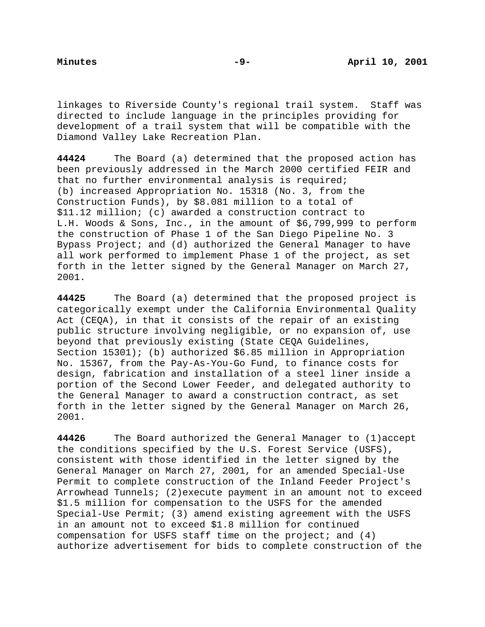linkages to Riverside County's regional trail system. Staff was directed to include language in the principles providing for development of a trail system that will be compatible with the Diamond Valley Lake Recreation Plan.

**44424** The Board (a) determined that the proposed action has been previously addressed in the March 2000 certified FEIR and that no further environmental analysis is required; (b) increased Appropriation No. 15318 (No. 3, from the Construction Funds), by \$8.081 million to a total of \$11.12 million; (c) awarded a construction contract to L.H. Woods & Sons, Inc., in the amount of \$6,799,999 to perform the construction of Phase 1 of the San Diego Pipeline No. 3 Bypass Project; and (d) authorized the General Manager to have all work performed to implement Phase 1 of the project, as set forth in the letter signed by the General Manager on March 27, 2001.

**44425** The Board (a) determined that the proposed project is categorically exempt under the California Environmental Quality Act (CEQA), in that it consists of the repair of an existing public structure involving negligible, or no expansion of, use beyond that previously existing (State CEQA Guidelines, Section 15301); (b) authorized \$6.85 million in Appropriation No. 15367, from the Pay-As-You-Go Fund, to finance costs for design, fabrication and installation of a steel liner inside a portion of the Second Lower Feeder, and delegated authority to the General Manager to award a construction contract, as set forth in the letter signed by the General Manager on March 26, 2001.

**44426** The Board authorized the General Manager to (1)accept the conditions specified by the U.S. Forest Service (USFS), consistent with those identified in the letter signed by the General Manager on March 27, 2001, for an amended Special-Use Permit to complete construction of the Inland Feeder Project's Arrowhead Tunnels; (2)execute payment in an amount not to exceed \$1.5 million for compensation to the USFS for the amended Special-Use Permit; (3) amend existing agreement with the USFS in an amount not to exceed \$1.8 million for continued compensation for USFS staff time on the project; and (4) authorize advertisement for bids to complete construction of the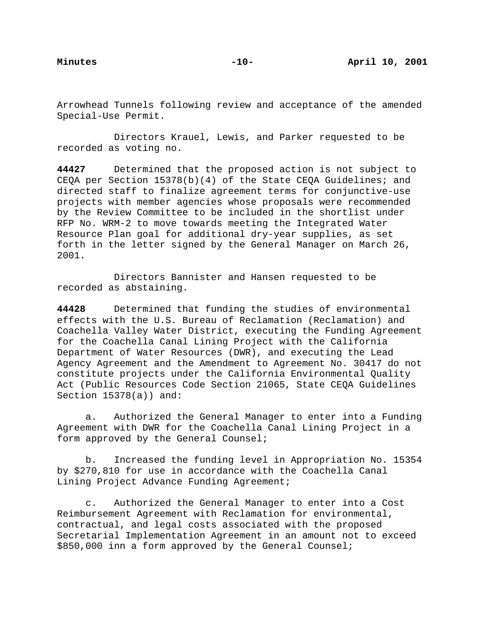Arrowhead Tunnels following review and acceptance of the amended Special-Use Permit.

Directors Krauel, Lewis, and Parker requested to be recorded as voting no.

**44427** Determined that the proposed action is not subject to CEQA per Section 15378(b)(4) of the State CEQA Guidelines; and directed staff to finalize agreement terms for conjunctive-use projects with member agencies whose proposals were recommended by the Review Committee to be included in the shortlist under RFP No. WRM-2 to move towards meeting the Integrated Water Resource Plan goal for additional dry-year supplies, as set forth in the letter signed by the General Manager on March 26, 2001.

Directors Bannister and Hansen requested to be recorded as abstaining.

**44428** Determined that funding the studies of environmental effects with the U.S. Bureau of Reclamation (Reclamation) and Coachella Valley Water District, executing the Funding Agreement for the Coachella Canal Lining Project with the California Department of Water Resources (DWR), and executing the Lead Agency Agreement and the Amendment to Agreement No. 30417 do not constitute projects under the California Environmental Quality Act (Public Resources Code Section 21065, State CEQA Guidelines Section 15378(a)) and:

a. Authorized the General Manager to enter into a Funding Agreement with DWR for the Coachella Canal Lining Project in a form approved by the General Counsel;

b. Increased the funding level in Appropriation No. 15354 by \$270,810 for use in accordance with the Coachella Canal Lining Project Advance Funding Agreement;

c. Authorized the General Manager to enter into a Cost Reimbursement Agreement with Reclamation for environmental, contractual, and legal costs associated with the proposed Secretarial Implementation Agreement in an amount not to exceed \$850,000 inn a form approved by the General Counsel;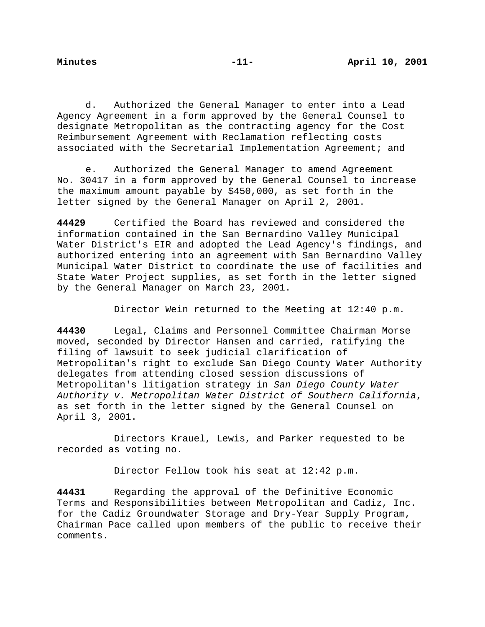d. Authorized the General Manager to enter into a Lead Agency Agreement in a form approved by the General Counsel to designate Metropolitan as the contracting agency for the Cost Reimbursement Agreement with Reclamation reflecting costs associated with the Secretarial Implementation Agreement; and

e. Authorized the General Manager to amend Agreement No. 30417 in a form approved by the General Counsel to increase the maximum amount payable by \$450,000, as set forth in the letter signed by the General Manager on April 2, 2001.

**44429** Certified the Board has reviewed and considered the information contained in the San Bernardino Valley Municipal Water District's EIR and adopted the Lead Agency's findings, and authorized entering into an agreement with San Bernardino Valley Municipal Water District to coordinate the use of facilities and State Water Project supplies, as set forth in the letter signed by the General Manager on March 23, 2001.

Director Wein returned to the Meeting at 12:40 p.m.

**44430** Legal, Claims and Personnel Committee Chairman Morse moved, seconded by Director Hansen and carried, ratifying the filing of lawsuit to seek judicial clarification of Metropolitan's right to exclude San Diego County Water Authority delegates from attending closed session discussions of Metropolitan's litigation strategy in San Diego County Water Authority v. Metropolitan Water District of Southern California, as set forth in the letter signed by the General Counsel on April 3, 2001.

Directors Krauel, Lewis, and Parker requested to be recorded as voting no.

Director Fellow took his seat at 12:42 p.m.

**44431** Regarding the approval of the Definitive Economic Terms and Responsibilities between Metropolitan and Cadiz, Inc. for the Cadiz Groundwater Storage and Dry-Year Supply Program, Chairman Pace called upon members of the public to receive their comments.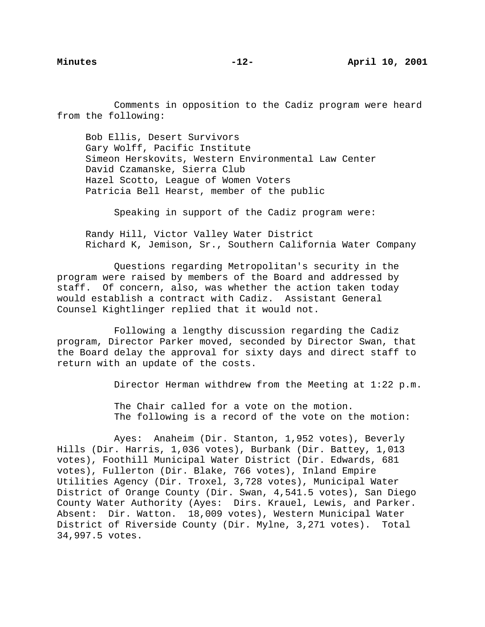Comments in opposition to the Cadiz program were heard from the following:

Bob Ellis, Desert Survivors Gary Wolff, Pacific Institute Simeon Herskovits, Western Environmental Law Center David Czamanske, Sierra Club Hazel Scotto, League of Women Voters Patricia Bell Hearst, member of the public

Speaking in support of the Cadiz program were:

Randy Hill, Victor Valley Water District Richard K, Jemison, Sr., Southern California Water Company

Questions regarding Metropolitan's security in the program were raised by members of the Board and addressed by staff. Of concern, also, was whether the action taken today would establish a contract with Cadiz. Assistant General Counsel Kightlinger replied that it would not.

Following a lengthy discussion regarding the Cadiz program, Director Parker moved, seconded by Director Swan, that the Board delay the approval for sixty days and direct staff to return with an update of the costs.

Director Herman withdrew from the Meeting at 1:22 p.m.

The Chair called for a vote on the motion. The following is a record of the vote on the motion:

Ayes: Anaheim (Dir. Stanton, 1,952 votes), Beverly Hills (Dir. Harris, 1,036 votes), Burbank (Dir. Battey, 1,013 votes), Foothill Municipal Water District (Dir. Edwards, 681 votes), Fullerton (Dir. Blake, 766 votes), Inland Empire Utilities Agency (Dir. Troxel, 3,728 votes), Municipal Water District of Orange County (Dir. Swan, 4,541.5 votes), San Diego County Water Authority (Ayes: Dirs. Krauel, Lewis, and Parker. Absent: Dir. Watton. 18,009 votes), Western Municipal Water District of Riverside County (Dir. Mylne, 3,271 votes). Total 34,997.5 votes.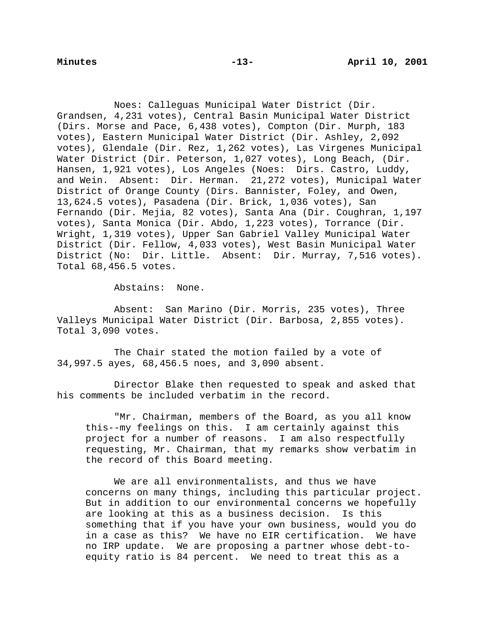Noes: Calleguas Municipal Water District (Dir. Grandsen, 4,231 votes), Central Basin Municipal Water District (Dirs. Morse and Pace, 6,438 votes), Compton (Dir. Murph, 183 votes), Eastern Municipal Water District (Dir. Ashley, 2,092 votes), Glendale (Dir. Rez, 1,262 votes), Las Virgenes Municipal Water District (Dir. Peterson, 1,027 votes), Long Beach, (Dir. Hansen, 1,921 votes), Los Angeles (Noes: Dirs. Castro, Luddy, and Wein. Absent: Dir. Herman. 21,272 votes), Municipal Water District of Orange County (Dirs. Bannister, Foley, and Owen, 13,624.5 votes), Pasadena (Dir. Brick, 1,036 votes), San Fernando (Dir. Mejia, 82 votes), Santa Ana (Dir. Coughran, 1,197 votes), Santa Monica (Dir. Abdo, 1,223 votes), Torrance (Dir. Wright, 1,319 votes), Upper San Gabriel Valley Municipal Water District (Dir. Fellow, 4,033 votes), West Basin Municipal Water District (No: Dir. Little. Absent: Dir. Murray, 7,516 votes). Total 68,456.5 votes.

Abstains: None.

Absent: San Marino (Dir. Morris, 235 votes), Three Valleys Municipal Water District (Dir. Barbosa, 2,855 votes). Total 3,090 votes.

The Chair stated the motion failed by a vote of 34,997.5 ayes, 68,456.5 noes, and 3,090 absent.

Director Blake then requested to speak and asked that his comments be included verbatim in the record.

"Mr. Chairman, members of the Board, as you all know this--my feelings on this. I am certainly against this project for a number of reasons. I am also respectfully requesting, Mr. Chairman, that my remarks show verbatim in the record of this Board meeting.

We are all environmentalists, and thus we have concerns on many things, including this particular project. But in addition to our environmental concerns we hopefully are looking at this as a business decision. Is this something that if you have your own business, would you do in a case as this? We have no EIR certification. We have no IRP update. We are proposing a partner whose debt-toequity ratio is 84 percent. We need to treat this as a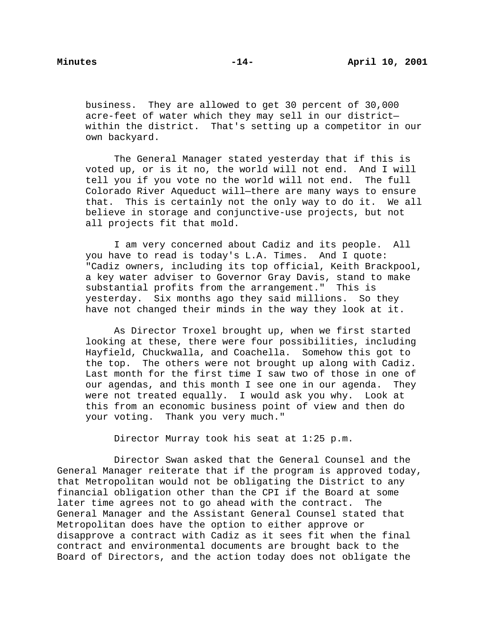business. They are allowed to get 30 percent of 30,000 acre-feet of water which they may sell in our district within the district. That's setting up a competitor in our own backyard.

The General Manager stated yesterday that if this is voted up, or is it no, the world will not end. And I will tell you if you vote no the world will not end. The full Colorado River Aqueduct will—there are many ways to ensure that. This is certainly not the only way to do it. We all believe in storage and conjunctive-use projects, but not all projects fit that mold.

I am very concerned about Cadiz and its people. All you have to read is today's L.A. Times. And I quote: "Cadiz owners, including its top official, Keith Brackpool, a key water adviser to Governor Gray Davis, stand to make substantial profits from the arrangement." This is yesterday. Six months ago they said millions. So they have not changed their minds in the way they look at it.

As Director Troxel brought up, when we first started looking at these, there were four possibilities, including Hayfield, Chuckwalla, and Coachella. Somehow this got to the top. The others were not brought up along with Cadiz. Last month for the first time I saw two of those in one of our agendas, and this month I see one in our agenda. They were not treated equally. I would ask you why. Look at this from an economic business point of view and then do your voting. Thank you very much."

Director Murray took his seat at 1:25 p.m.

Director Swan asked that the General Counsel and the General Manager reiterate that if the program is approved today, that Metropolitan would not be obligating the District to any financial obligation other than the CPI if the Board at some later time agrees not to go ahead with the contract. The General Manager and the Assistant General Counsel stated that Metropolitan does have the option to either approve or disapprove a contract with Cadiz as it sees fit when the final contract and environmental documents are brought back to the Board of Directors, and the action today does not obligate the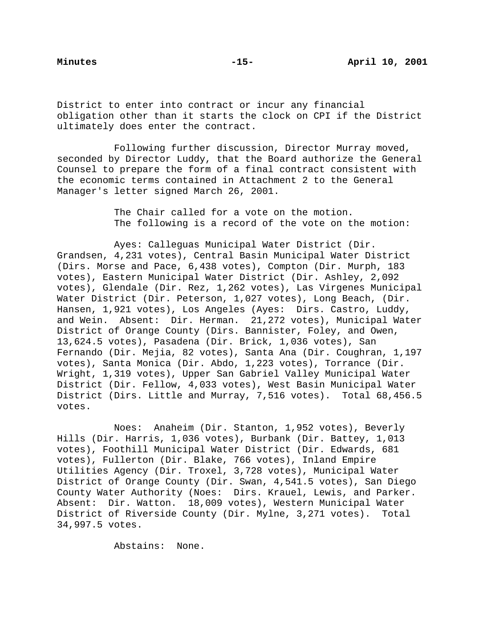District to enter into contract or incur any financial obligation other than it starts the clock on CPI if the District ultimately does enter the contract.

Following further discussion, Director Murray moved, seconded by Director Luddy, that the Board authorize the General Counsel to prepare the form of a final contract consistent with the economic terms contained in Attachment 2 to the General Manager's letter signed March 26, 2001.

> The Chair called for a vote on the motion. The following is a record of the vote on the motion:

Ayes: Calleguas Municipal Water District (Dir. Grandsen, 4,231 votes), Central Basin Municipal Water District (Dirs. Morse and Pace, 6,438 votes), Compton (Dir. Murph, 183 votes), Eastern Municipal Water District (Dir. Ashley, 2,092 votes), Glendale (Dir. Rez, 1,262 votes), Las Virgenes Municipal Water District (Dir. Peterson, 1,027 votes), Long Beach, (Dir. Hansen, 1,921 votes), Los Angeles (Ayes: Dirs. Castro, Luddy, and Wein. Absent: Dir. Herman. 21,272 votes), Municipal Water District of Orange County (Dirs. Bannister, Foley, and Owen, 13,624.5 votes), Pasadena (Dir. Brick, 1,036 votes), San Fernando (Dir. Mejia, 82 votes), Santa Ana (Dir. Coughran, 1,197 votes), Santa Monica (Dir. Abdo, 1,223 votes), Torrance (Dir. Wright, 1,319 votes), Upper San Gabriel Valley Municipal Water District (Dir. Fellow, 4,033 votes), West Basin Municipal Water District (Dirs. Little and Murray, 7,516 votes). Total 68,456.5 votes.

Noes: Anaheim (Dir. Stanton, 1,952 votes), Beverly Hills (Dir. Harris, 1,036 votes), Burbank (Dir. Battey, 1,013 votes), Foothill Municipal Water District (Dir. Edwards, 681 votes), Fullerton (Dir. Blake, 766 votes), Inland Empire Utilities Agency (Dir. Troxel, 3,728 votes), Municipal Water District of Orange County (Dir. Swan, 4,541.5 votes), San Diego County Water Authority (Noes: Dirs. Krauel, Lewis, and Parker. Absent: Dir. Watton. 18,009 votes), Western Municipal Water District of Riverside County (Dir. Mylne, 3,271 votes). Total 34,997.5 votes.

Abstains: None.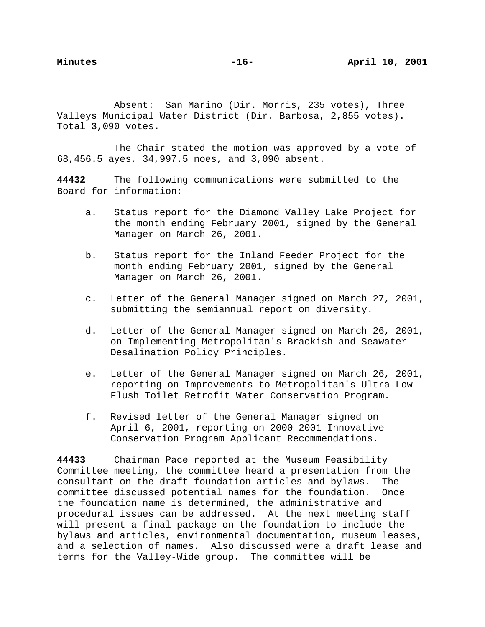Absent: San Marino (Dir. Morris, 235 votes), Three Valleys Municipal Water District (Dir. Barbosa, 2,855 votes). Total 3,090 votes.

The Chair stated the motion was approved by a vote of 68,456.5 ayes, 34,997.5 noes, and 3,090 absent.

**44432** The following communications were submitted to the Board for information:

- a. Status report for the Diamond Valley Lake Project for the month ending February 2001, signed by the General Manager on March 26, 2001.
- b. Status report for the Inland Feeder Project for the month ending February 2001, signed by the General Manager on March 26, 2001.
- c. Letter of the General Manager signed on March 27, 2001, submitting the semiannual report on diversity.
- d. Letter of the General Manager signed on March 26, 2001, on Implementing Metropolitan's Brackish and Seawater Desalination Policy Principles.
- e. Letter of the General Manager signed on March 26, 2001, reporting on Improvements to Metropolitan's Ultra-Low-Flush Toilet Retrofit Water Conservation Program.
- f. Revised letter of the General Manager signed on April 6, 2001, reporting on 2000-2001 Innovative Conservation Program Applicant Recommendations.

**44433** Chairman Pace reported at the Museum Feasibility Committee meeting, the committee heard a presentation from the consultant on the draft foundation articles and bylaws. The committee discussed potential names for the foundation. Once the foundation name is determined, the administrative and procedural issues can be addressed. At the next meeting staff will present a final package on the foundation to include the bylaws and articles, environmental documentation, museum leases, and a selection of names. Also discussed were a draft lease and terms for the Valley-Wide group. The committee will be